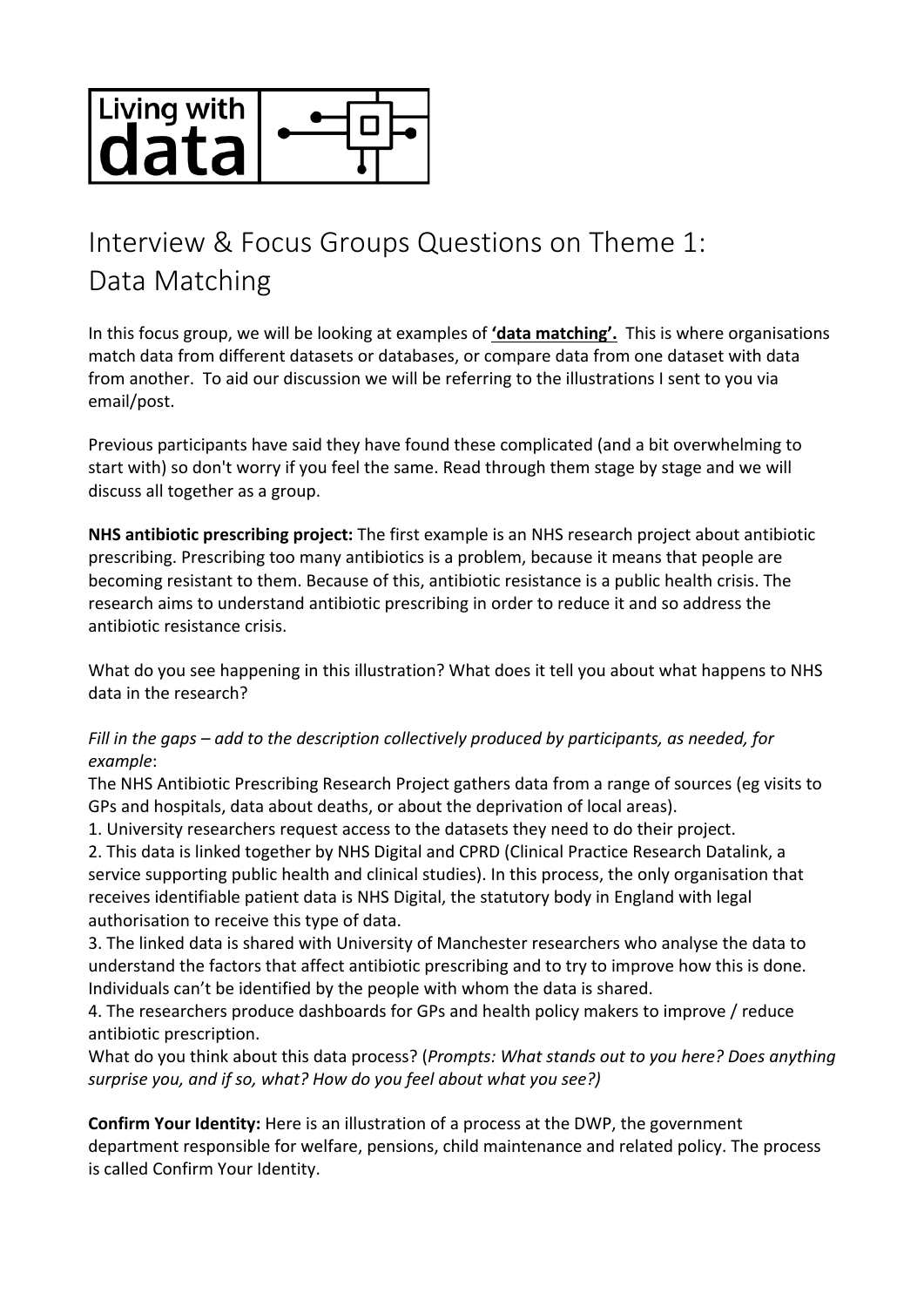

## Interview & Focus Groups Questions on Theme 1: Data Matching

In this focus group, we will be looking at examples of **'data matching'.** This is where organisations match data from different datasets or databases, or compare data from one dataset with data from another. To aid our discussion we will be referring to the illustrations I sent to you via email/post.

Previous participants have said they have found these complicated (and a bit overwhelming to start with) so don't worry if you feel the same. Read through them stage by stage and we will discuss all together as a group.

**NHS antibiotic prescribing project:** The first example is an NHS research project about antibiotic prescribing. Prescribing too many antibiotics is a problem, because it means that people are becoming resistant to them. Because of this, antibiotic resistance is a public health crisis. The research aims to understand antibiotic prescribing in order to reduce it and so address the antibiotic resistance crisis.

What do you see happening in this illustration? What does it tell you about what happens to NHS data in the research?

## *Fill in the gaps – add to the description collectively produced by participants, as needed, for example*:

The NHS Antibiotic Prescribing Research Project gathers data from a range of sources (eg visits to GPs and hospitals, data about deaths, or about the deprivation of local areas).

1. University researchers request access to the datasets they need to do their project.

2. This data is linked together by NHS Digital and CPRD (Clinical Practice Research Datalink, a service supporting public health and clinical studies). In this process, the only organisation that receives identifiable patient data is NHS Digital, the statutory body in England with legal authorisation to receive this type of data.

3. The linked data is shared with University of Manchester researchers who analyse the data to understand the factors that affect antibiotic prescribing and to try to improve how this is done. Individuals can't be identified by the people with whom the data is shared.

4. The researchers produce dashboards for GPs and health policy makers to improve / reduce antibiotic prescription.

What do you think about this data process? (*Prompts: What stands out to you here? Does anything surprise you, and if so, what? How do you feel about what you see?)*

**Confirm Your Identity:** Here is an illustration of a process at the DWP, the government department responsible for welfare, pensions, child maintenance and related policy. The process is called Confirm Your Identity.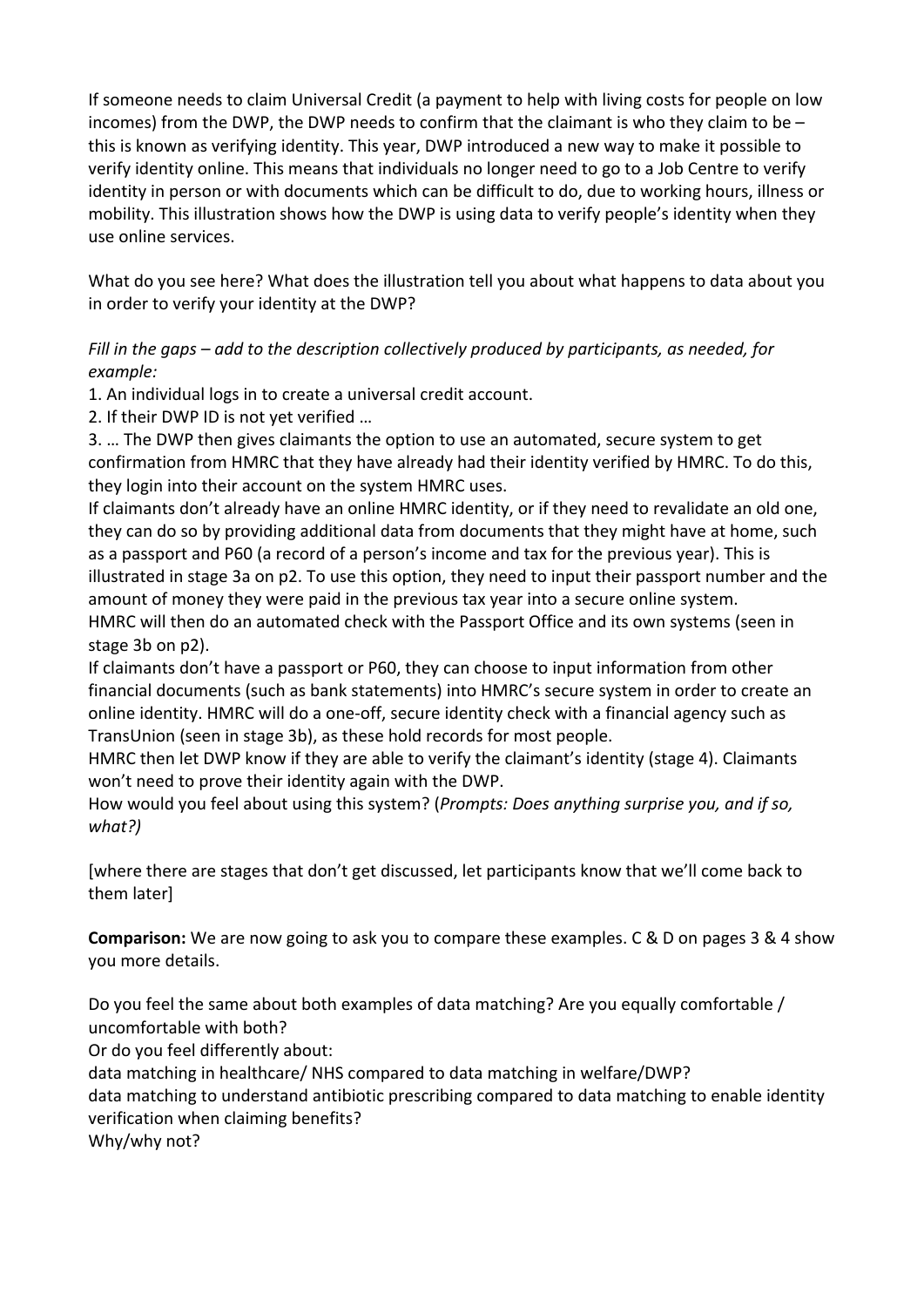If someone needs to claim Universal Credit (a payment to help with living costs for people on low incomes) from the DWP, the DWP needs to confirm that the claimant is who they claim to be – this is known as verifying identity. This year, DWP introduced a new way to make it possible to verify identity online. This means that individuals no longer need to go to a Job Centre to verify identity in person or with documents which can be difficult to do, due to working hours, illness or mobility. This illustration shows how the DWP is using data to verify people's identity when they use online services.

What do you see here? What does the illustration tell you about what happens to data about you in order to verify your identity at the DWP?

*Fill in the gaps – add to the description collectively produced by participants, as needed, for example:*

1. An individual logs in to create a universal credit account.

2. If their DWP ID is not yet verified …

3. … The DWP then gives claimants the option to use an automated, secure system to get confirmation from HMRC that they have already had their identity verified by HMRC. To do this, they login into their account on the system HMRC uses.

If claimants don't already have an online HMRC identity, or if they need to revalidate an old one, they can do so by providing additional data from documents that they might have at home, such as a passport and P60 (a record of a person's income and tax for the previous year). This is illustrated in stage 3a on p2. To use this option, they need to input their passport number and the amount of money they were paid in the previous tax year into a secure online system. HMRC will then do an automated check with the Passport Office and its own systems (seen in stage 3b on p2).

If claimants don't have a passport or P60, they can choose to input information from other financial documents (such as bank statements) into HMRC's secure system in order to create an online identity. HMRC will do a one-off, secure identity check with a financial agency such as TransUnion (seen in stage 3b), as these hold records for most people.

HMRC then let DWP know if they are able to verify the claimant's identity (stage 4). Claimants won't need to prove their identity again with the DWP.

How would you feel about using this system? (*Prompts: Does anything surprise you, and if so, what?)*

[where there are stages that don't get discussed, let participants know that we'll come back to them later]

**Comparison:** We are now going to ask you to compare these examples. C & D on pages 3 & 4 show you more details.

Do you feel the same about both examples of data matching? Are you equally comfortable / uncomfortable with both?

Or do you feel differently about:

data matching in healthcare/ NHS compared to data matching in welfare/DWP?

data matching to understand antibiotic prescribing compared to data matching to enable identity verification when claiming benefits?

Why/why not?